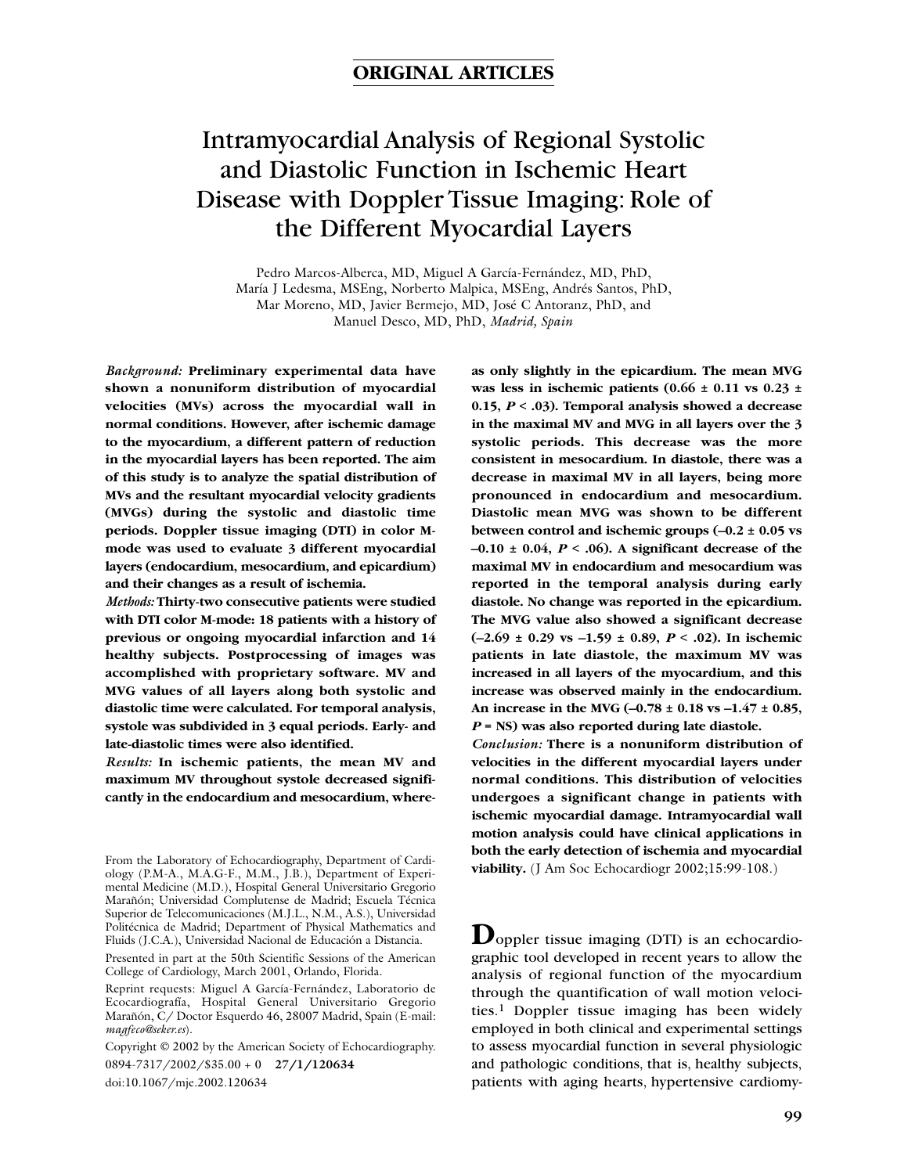# **ORIGINAL ARTICLES**

# Intramyocardial Analysis of Regional Systolic and Diastolic Function in Ischemic Heart Disease with Doppler Tissue Imaging: Role of the Different Myocardial Layers

Pedro Marcos-Alberca, MD, Miguel A García-Fernández, MD, PhD, María J Ledesma, MSEng, Norberto Malpica, MSEng, Andrés Santos, PhD, Mar Moreno, MD, Javier Bermejo, MD, José C Antoranz, PhD, and Manuel Desco, MD, PhD, *Madrid, Spain*

*Background:* **Preliminary experimental data have shown a nonuniform distribution of myocardial velocities (MVs) across the myocardial wall in normal conditions. However, after ischemic damage to the myocardium, a different pattern of reduction in the myocardial layers has been reported. The aim of this study is to analyze the spatial distribution of MVs and the resultant myocardial velocity gradients (MVGs) during the systolic and diastolic time periods. Doppler tissue imaging (DTI) in color Mmode was used to evaluate 3 different myocardial layers (endocardium, mesocardium, and epicardium) and their changes as a result of ischemia.**

*Methods:* **Thirty-two consecutive patients were studied with DTI color M-mode: 18 patients with a history of previous or ongoing myocardial infarction and 14 healthy subjects. Postprocessing of images was accomplished with proprietary software. MV and MVG values of all layers along both systolic and diastolic time were calculated. For temporal analysis, systole was subdivided in 3 equal periods. Early- and late-diastolic times were also identified.**

*Results:* **In ischemic patients, the mean MV and maximum MV throughout systole decreased significantly in the endocardium and mesocardium, where-**

From the Laboratory of Echocardiography, Department of Cardiology (P.M-A., M.A.G-F., M.M., J.B.), Department of Experimental Medicine (M.D.), Hospital General Universitario Gregorio Marañón; Universidad Complutense de Madrid; Escuela Técnica Superior de Telecomunicaciones (M.J.L., N.M., A.S.), Universidad Politécnica de Madrid; Department of Physical Mathematics and Fluids (J.C.A.), Universidad Nacional de Educación a Distancia.

Presented in part at the 50th Scientific Sessions of the American College of Cardiology, March 2001, Orlando, Florida.

Reprint requests: Miguel A García-Fernández, Laboratorio de Ecocardiografía, Hospital General Universitario Gregorio Marañón, C/ Doctor Esquerdo 46, 28007 Madrid, Spain (E-mail: *magfeco@seker.es*).

Copyright © 2002 by the American Society of Echocardiography. 0894-7317/2002/\$35.00 + 0 **27/1/120634** doi:10.1067/mje.2002.120634

**as only slightly in the epicardium. The mean MVG was less in ischemic patients (0.66 ± 0.11 vs 0.23 ± 0.15,** *P* **< .03). Temporal analysis showed a decrease in the maximal MV and MVG in all layers over the 3 systolic periods. This decrease was the more consistent in mesocardium. In diastole, there was a decrease in maximal MV in all layers, being more pronounced in endocardium and mesocardium. Diastolic mean MVG was shown to be different between control and ischemic groups (–0.2 ± 0.05 vs –0.10 ± 0.04,** *P* **< .06). A significant decrease of the maximal MV in endocardium and mesocardium was reported in the temporal analysis during early diastole. No change was reported in the epicardium. The MVG value also showed a significant decrease (–2.69 ± 0.29 vs –1.59 ± 0.89,** *P* **< .02). In ischemic patients in late diastole, the maximum MV was increased in all layers of the myocardium, and this increase was observed mainly in the endocardium. An increase in the MVG (–0.78 ± 0.18 vs –1.47 ± 0.85,** *P* **= NS) was also reported during late diastole.**

*Conclusion:* **There is a nonuniform distribution of velocities in the different myocardial layers under normal conditions. This distribution of velocities undergoes a significant change in patients with ischemic myocardial damage. Intramyocardial wall motion analysis could have clinical applications in both the early detection of ischemia and myocardial viability.** (J Am Soc Echocardiogr 2002;15:99-108.)

**D**oppler tissue imaging (DTI) is an echocardiographic tool developed in recent years to allow the analysis of regional function of the myocardium through the quantification of wall motion velocities.1 Doppler tissue imaging has been widely employed in both clinical and experimental settings to assess myocardial function in several physiologic and pathologic conditions, that is, healthy subjects, patients with aging hearts, hypertensive cardiomy-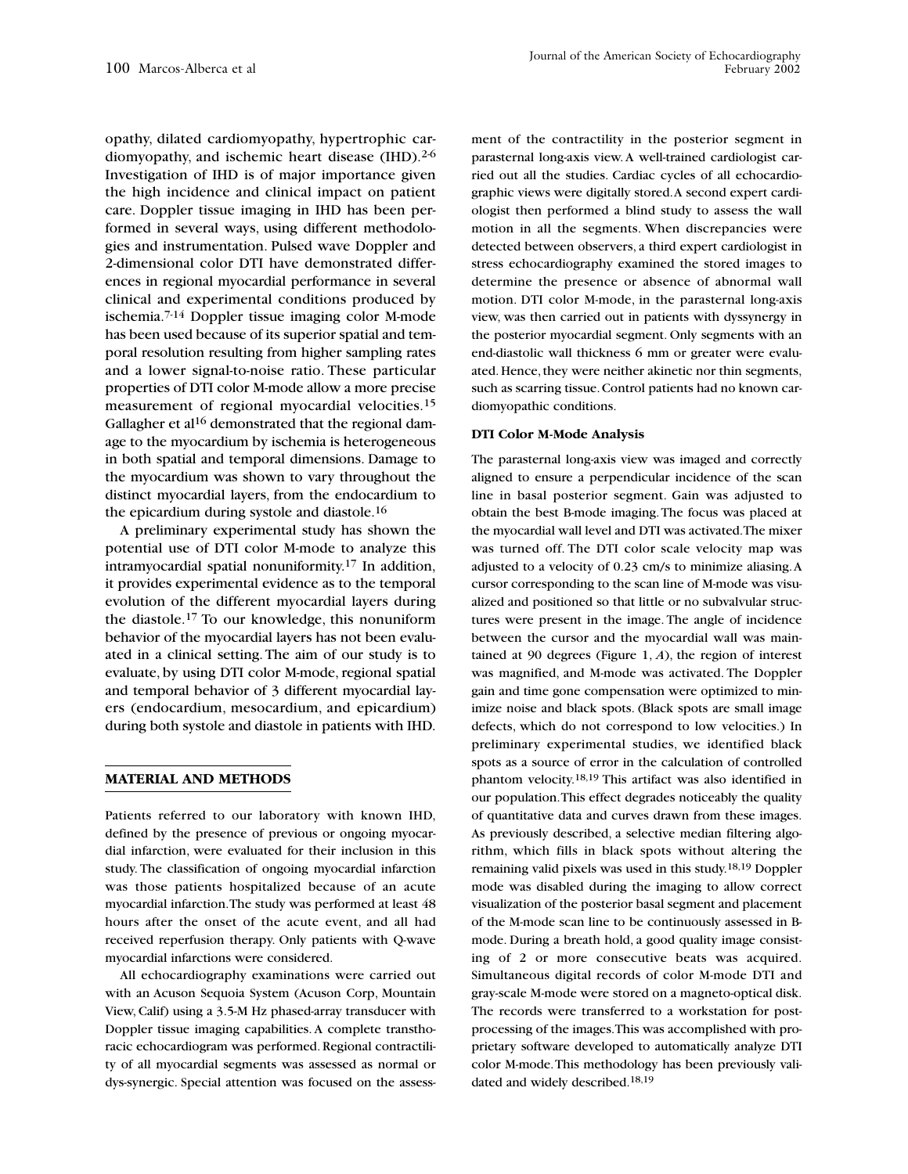opathy, dilated cardiomyopathy, hypertrophic cardiomyopathy, and ischemic heart disease (IHD).<sup>2-6</sup> Investigation of IHD is of major importance given the high incidence and clinical impact on patient care. Doppler tissue imaging in IHD has been performed in several ways, using different methodologies and instrumentation. Pulsed wave Doppler and 2-dimensional color DTI have demonstrated differences in regional myocardial performance in several clinical and experimental conditions produced by ischemia.7-14 Doppler tissue imaging color M-mode has been used because of its superior spatial and temporal resolution resulting from higher sampling rates and a lower signal-to-noise ratio. These particular properties of DTI color M-mode allow a more precise measurement of regional myocardial velocities.15 Gallagher et al<sup>16</sup> demonstrated that the regional damage to the myocardium by ischemia is heterogeneous in both spatial and temporal dimensions. Damage to the myocardium was shown to vary throughout the distinct myocardial layers, from the endocardium to the epicardium during systole and diastole.16

A preliminary experimental study has shown the potential use of DTI color M-mode to analyze this intramyocardial spatial nonuniformity.17 In addition, it provides experimental evidence as to the temporal evolution of the different myocardial layers during the diastole.17 To our knowledge, this nonuniform behavior of the myocardial layers has not been evaluated in a clinical setting. The aim of our study is to evaluate, by using DTI color M-mode, regional spatial and temporal behavior of 3 different myocardial layers (endocardium, mesocardium, and epicardium) during both systole and diastole in patients with IHD.

# **MATERIAL AND METHODS**

Patients referred to our laboratory with known IHD, defined by the presence of previous or ongoing myocardial infarction, were evaluated for their inclusion in this study. The classification of ongoing myocardial infarction was those patients hospitalized because of an acute myocardial infarction.The study was performed at least 48 hours after the onset of the acute event, and all had received reperfusion therapy. Only patients with Q-wave myocardial infarctions were considered.

All echocardiography examinations were carried out with an Acuson Sequoia System (Acuson Corp, Mountain View, Calif) using a 3.5-M Hz phased-array transducer with Doppler tissue imaging capabilities. A complete transthoracic echocardiogram was performed. Regional contractility of all myocardial segments was assessed as normal or dys-synergic. Special attention was focused on the assessment of the contractility in the posterior segment in parasternal long-axis view. A well-trained cardiologist carried out all the studies. Cardiac cycles of all echocardiographic views were digitally stored.A second expert cardiologist then performed a blind study to assess the wall motion in all the segments. When discrepancies were detected between observers, a third expert cardiologist in stress echocardiography examined the stored images to determine the presence or absence of abnormal wall motion. DTI color M-mode, in the parasternal long-axis view, was then carried out in patients with dyssynergy in the posterior myocardial segment. Only segments with an end-diastolic wall thickness 6 mm or greater were evaluated. Hence, they were neither akinetic nor thin segments, such as scarring tissue. Control patients had no known cardiomyopathic conditions.

# **DTI Color M-Mode Analysis**

The parasternal long-axis view was imaged and correctly aligned to ensure a perpendicular incidence of the scan line in basal posterior segment. Gain was adjusted to obtain the best B-mode imaging.The focus was placed at the myocardial wall level and DTI was activated.The mixer was turned off. The DTI color scale velocity map was adjusted to a velocity of 0.23 cm/s to minimize aliasing.A cursor corresponding to the scan line of M-mode was visualized and positioned so that little or no subvalvular structures were present in the image. The angle of incidence between the cursor and the myocardial wall was maintained at 90 degrees (Figure 1, *A*), the region of interest was magnified, and M-mode was activated. The Doppler gain and time gone compensation were optimized to minimize noise and black spots. (Black spots are small image defects, which do not correspond to low velocities.) In preliminary experimental studies, we identified black spots as a source of error in the calculation of controlled phantom velocity.18,19 This artifact was also identified in our population.This effect degrades noticeably the quality of quantitative data and curves drawn from these images. As previously described, a selective median filtering algorithm, which fills in black spots without altering the remaining valid pixels was used in this study.18,19 Doppler mode was disabled during the imaging to allow correct visualization of the posterior basal segment and placement of the M-mode scan line to be continuously assessed in Bmode. During a breath hold, a good quality image consisting of 2 or more consecutive beats was acquired. Simultaneous digital records of color M-mode DTI and gray-scale M-mode were stored on a magneto-optical disk. The records were transferred to a workstation for postprocessing of the images.This was accomplished with proprietary software developed to automatically analyze DTI color M-mode.This methodology has been previously validated and widely described.18,19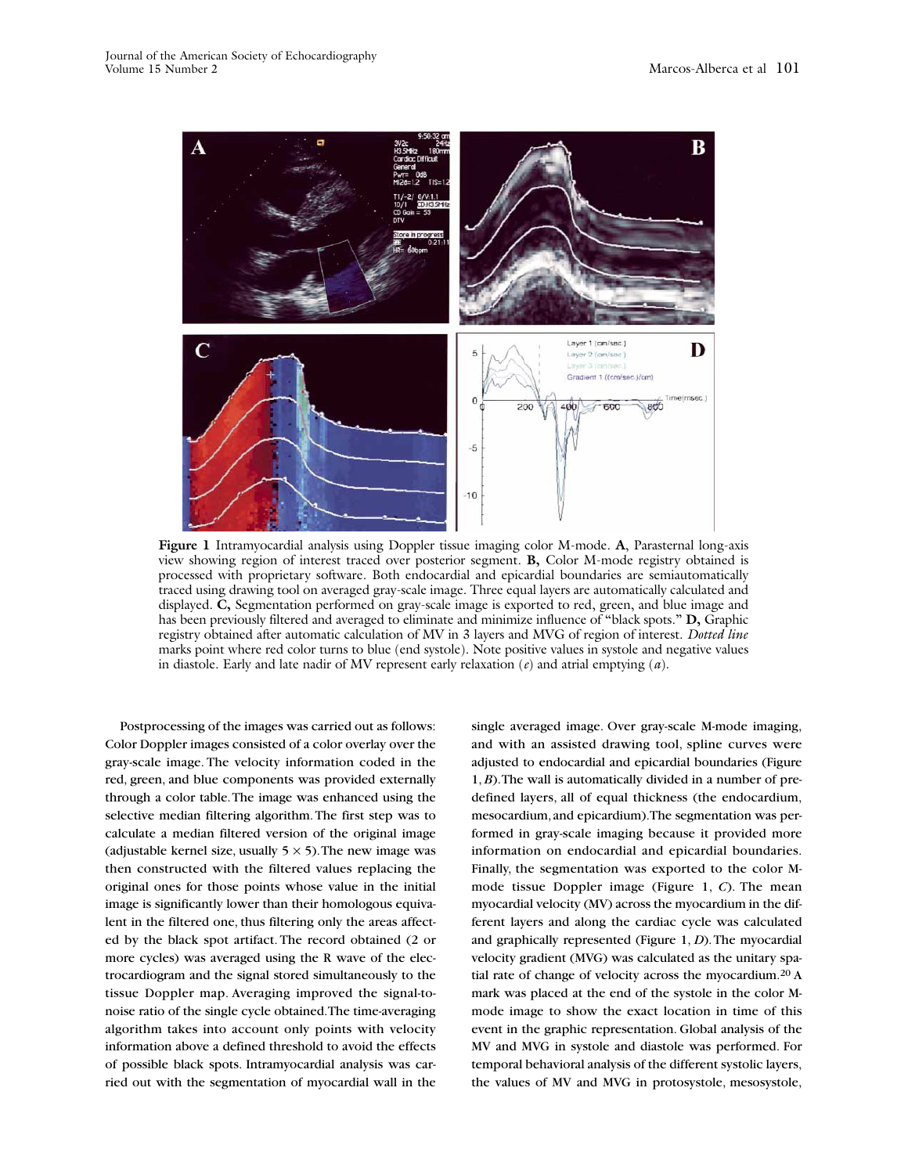

**Figure 1** Intramyocardial analysis using Doppler tissue imaging color M-mode. **A**, Parasternal long-axis view showing region of interest traced over posterior segment. **B,** Color M-mode registry obtained is processed with proprietary software. Both endocardial and epicardial boundaries are semiautomatically traced using drawing tool on averaged gray-scale image. Three equal layers are automatically calculated and displayed. **C,** Segmentation performed on gray-scale image is exported to red, green, and blue image and has been previously filtered and averaged to eliminate and minimize influence of "black spots." **D,** Graphic registry obtained after automatic calculation of MV in 3 layers and MVG of region of interest. *Dotted line* marks point where red color turns to blue (end systole). Note positive values in systole and negative values in diastole. Early and late nadir of MV represent early relaxation (*e*) and atrial emptying (*a*).

Postprocessing of the images was carried out as follows: Color Doppler images consisted of a color overlay over the gray-scale image. The velocity information coded in the red, green, and blue components was provided externally through a color table.The image was enhanced using the selective median filtering algorithm.The first step was to calculate a median filtered version of the original image (adjustable kernel size, usually  $5 \times 5$ ). The new image was then constructed with the filtered values replacing the original ones for those points whose value in the initial image is significantly lower than their homologous equivalent in the filtered one, thus filtering only the areas affected by the black spot artifact. The record obtained (2 or more cycles) was averaged using the R wave of the electrocardiogram and the signal stored simultaneously to the tissue Doppler map. Averaging improved the signal-tonoise ratio of the single cycle obtained.The time-averaging algorithm takes into account only points with velocity information above a defined threshold to avoid the effects of possible black spots. Intramyocardial analysis was carried out with the segmentation of myocardial wall in the

single averaged image. Over gray-scale M-mode imaging, and with an assisted drawing tool, spline curves were adjusted to endocardial and epicardial boundaries (Figure 1, *B*).The wall is automatically divided in a number of predefined layers, all of equal thickness (the endocardium, mesocardium, and epicardium). The segmentation was performed in gray-scale imaging because it provided more information on endocardial and epicardial boundaries. Finally, the segmentation was exported to the color Mmode tissue Doppler image (Figure 1, *C*). The mean myocardial velocity (MV) across the myocardium in the different layers and along the cardiac cycle was calculated and graphically represented (Figure 1, *D*).The myocardial velocity gradient (MVG) was calculated as the unitary spatial rate of change of velocity across the myocardium.20 A mark was placed at the end of the systole in the color Mmode image to show the exact location in time of this event in the graphic representation. Global analysis of the MV and MVG in systole and diastole was performed. For temporal behavioral analysis of the different systolic layers, the values of MV and MVG in protosystole, mesosystole,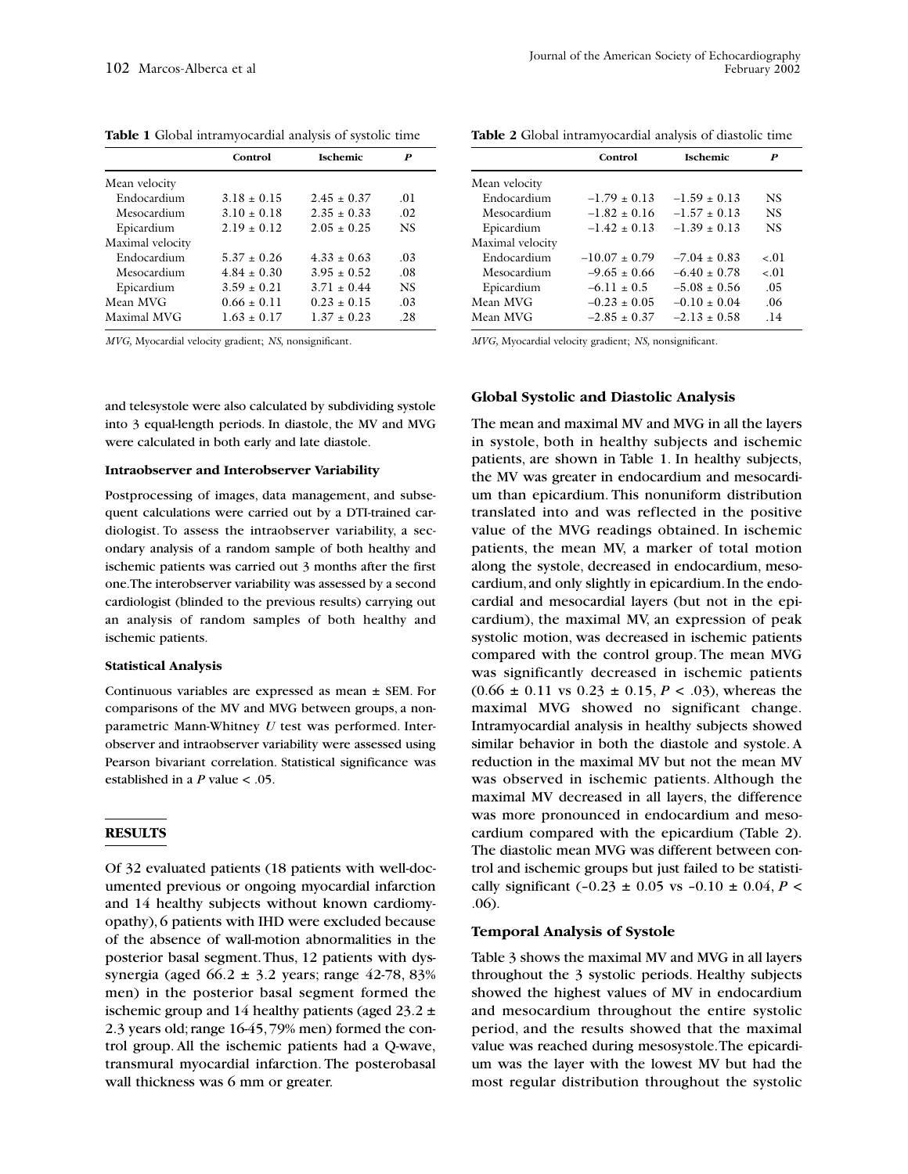|                  | Control         | <b>Ischemic</b> | P   |
|------------------|-----------------|-----------------|-----|
| Mean velocity    |                 |                 |     |
| Endocardium      | $3.18 \pm 0.15$ | $2.45 \pm 0.37$ | .01 |
| Mesocardium      | $3.10 \pm 0.18$ | $2.35 \pm 0.33$ | .02 |
| Epicardium       | $2.19 \pm 0.12$ | $2.05 + 0.25$   | NS  |
| Maximal velocity |                 |                 |     |
| Endocardium      | $5.37 \pm 0.26$ | $4.33 \pm 0.63$ | .03 |
| Mesocardium      | $4.84 \pm 0.30$ | $3.95 \pm 0.52$ | .08 |
| Epicardium       | $3.59 \pm 0.21$ | $3.71 \pm 0.44$ | NS  |
| Mean MVG         | $0.66 \pm 0.11$ | $0.23 + 0.15$   | .03 |
| Maximal MVG      | $1.63 \pm 0.17$ | $1.37 \pm 0.23$ | .28 |

**Table 1** Global intramyocardial analysis of systolic time

*MVG,* Myocardial velocity gradient; *NS,* nonsignificant*.*

and telesystole were also calculated by subdividing systole into 3 equal-length periods. In diastole, the MV and MVG were calculated in both early and late diastole.

#### **Intraobserver and Interobserver Variability**

Postprocessing of images, data management, and subsequent calculations were carried out by a DTI-trained cardiologist. To assess the intraobserver variability, a secondary analysis of a random sample of both healthy and ischemic patients was carried out 3 months after the first one.The interobserver variability was assessed by a second cardiologist (blinded to the previous results) carrying out an analysis of random samples of both healthy and ischemic patients.

#### **Statistical Analysis**

Continuous variables are expressed as mean ± SEM. For comparisons of the MV and MVG between groups, a nonparametric Mann-Whitney *U* test was performed. Interobserver and intraobserver variability were assessed using Pearson bivariant correlation. Statistical significance was established in a *P* value < .05.

# **RESULTS**

Of 32 evaluated patients (18 patients with well-documented previous or ongoing myocardial infarction and 14 healthy subjects without known cardiomyopathy), 6 patients with IHD were excluded because of the absence of wall-motion abnormalities in the posterior basal segment.Thus, 12 patients with dyssynergia (aged  $66.2 \pm 3.2$  years; range 42-78, 83% men) in the posterior basal segment formed the ischemic group and 14 healthy patients (aged  $23.2 \pm$ 2.3 years old;range 16-45,79% men) formed the control group. All the ischemic patients had a Q-wave, transmural myocardial infarction. The posterobasal wall thickness was 6 mm or greater.

|                  | Control          | <b>Ischemic</b>  | P     |  |
|------------------|------------------|------------------|-------|--|
| Mean velocity    |                  |                  |       |  |
| Endocardium      | $-1.79 \pm 0.13$ | $-1.59 \pm 0.13$ | NS    |  |
| Mesocardium      | $-1.82 \pm 0.16$ | $-1.57 \pm 0.13$ | NS.   |  |
| Epicardium       | $-1.42 \pm 0.13$ | $-1.39 \pm 0.13$ | NS.   |  |
| Maximal velocitv |                  |                  |       |  |
| Endocardium      | $-10.07 + 0.79$  | $-7.04 + 0.83$   | < .01 |  |
| Mesocardium      | $-9.65 \pm 0.66$ | $-6.40 \pm 0.78$ | < .01 |  |
| Epicardium       | $-6.11 \pm 0.5$  | $-5.08 \pm 0.56$ | .05   |  |
| Mean MVG         | $-0.23 \pm 0.05$ | $-0.10 \pm 0.04$ | .06   |  |
| Mean MVG         | $-2.85 \pm 0.37$ | $-2.13 \pm 0.58$ | .14   |  |
|                  |                  |                  |       |  |

*MVG,* Myocardial velocity gradient; *NS,* nonsignificant*.*

## **Global Systolic and Diastolic Analysis**

The mean and maximal MV and MVG in all the layers in systole, both in healthy subjects and ischemic patients, are shown in Table 1. In healthy subjects, the MV was greater in endocardium and mesocardium than epicardium. This nonuniform distribution translated into and was reflected in the positive value of the MVG readings obtained. In ischemic patients, the mean MV, a marker of total motion along the systole, decreased in endocardium, mesocardium,and only slightly in epicardium.In the endocardial and mesocardial layers (but not in the epicardium), the maximal MV, an expression of peak systolic motion, was decreased in ischemic patients compared with the control group. The mean MVG was significantly decreased in ischemic patients  $(0.66 \pm 0.11 \text{ vs } 0.23 \pm 0.15, P < .03)$ , whereas the maximal MVG showed no significant change. Intramyocardial analysis in healthy subjects showed similar behavior in both the diastole and systole. A reduction in the maximal MV but not the mean MV was observed in ischemic patients. Although the maximal MV decreased in all layers, the difference was more pronounced in endocardium and mesocardium compared with the epicardium (Table 2). The diastolic mean MVG was different between control and ischemic groups but just failed to be statistically significant  $(-0.23 \pm 0.05 \text{ vs } -0.10 \pm 0.04, P <$ .06).

#### **Temporal Analysis of Systole**

Table 3 shows the maximal MV and MVG in all layers throughout the 3 systolic periods. Healthy subjects showed the highest values of MV in endocardium and mesocardium throughout the entire systolic period, and the results showed that the maximal value was reached during mesosystole.The epicardium was the layer with the lowest MV but had the most regular distribution throughout the systolic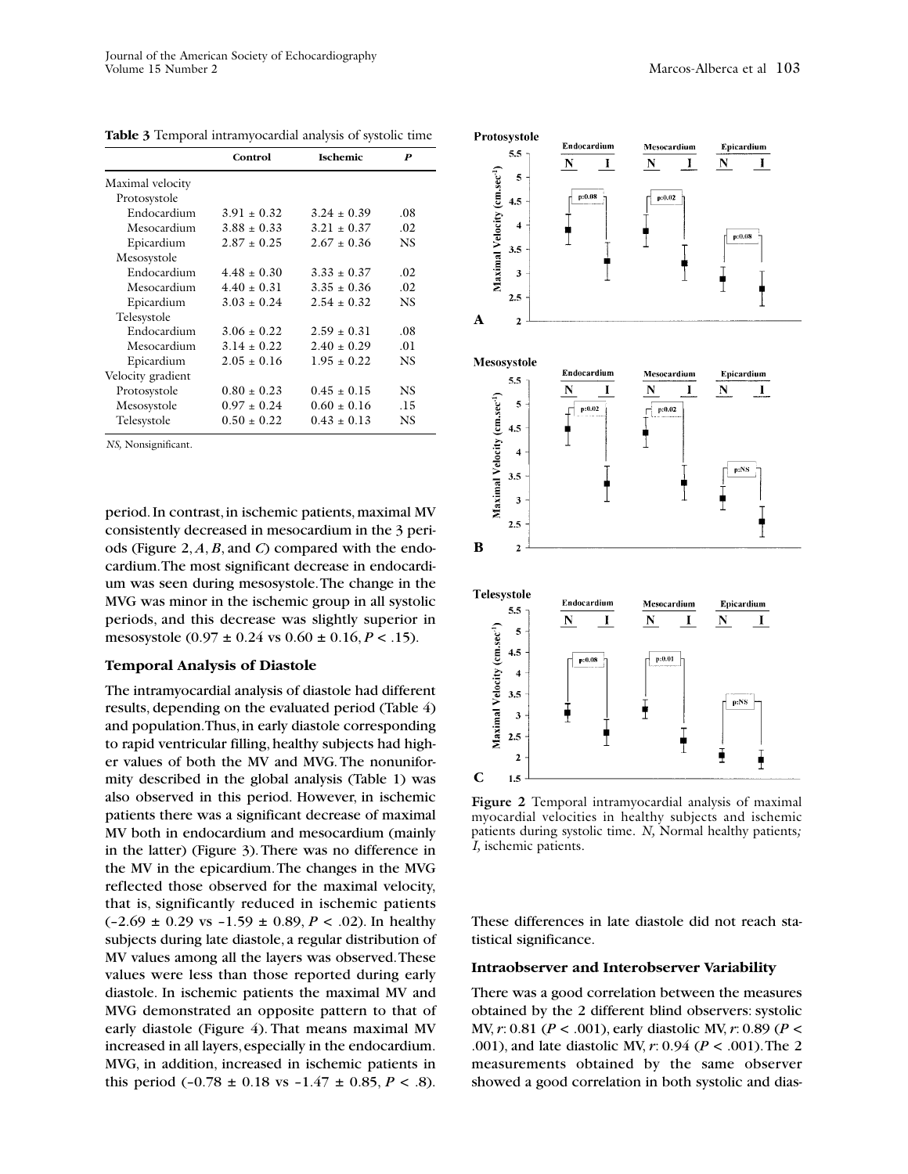|                   | <b>Ischemic</b><br>Control |                 | P         |  |
|-------------------|----------------------------|-----------------|-----------|--|
| Maximal velocity  |                            |                 |           |  |
| Protosystole      |                            |                 |           |  |
| Endocardium       | $3.91 \pm 0.32$            | $3.24 \pm 0.39$ | .08       |  |
| Mesocardium       | $3.88 \pm 0.33$            | $3.21 \pm 0.37$ | .02       |  |
| Epicardium        | $2.87 \pm 0.25$            | $2.67 \pm 0.36$ | NS        |  |
| Mesosystole       |                            |                 |           |  |
| Endocardium       | $4.48 \pm 0.30$            | $3.33 \pm 0.37$ | .02       |  |
| Mesocardium       | $4.40 \pm 0.31$            | $3.35 \pm 0.36$ | .02       |  |
| Epicardium        | $3.03 \pm 0.24$            | $2.54 \pm 0.32$ | <b>NS</b> |  |
| Telesystole       |                            |                 |           |  |
| Endocardium       | $3.06 \pm 0.22$            | $2.59 \pm 0.31$ | .08       |  |
| Mesocardium       | $3.14 \pm 0.22$            | $2.40 \pm 0.29$ | .01       |  |
| Epicardium        | $2.05 \pm 0.16$            | $1.95 \pm 0.22$ | <b>NS</b> |  |
| Velocity gradient |                            |                 |           |  |
| Protosystole      | $0.80 \pm 0.23$            | $0.45 \pm 0.15$ | <b>NS</b> |  |
| Mesosystole       | $0.97 \pm 0.24$            | $0.60 \pm 0.16$ | .15       |  |
| Telesystole       | $0.50 \pm 0.22$            | $0.43 \pm 0.13$ | NS        |  |

**Table 3** Temporal intramyocardial analysis of systolic time

*NS,* Nonsignificant*.*

period. In contrast, in ischemic patients, maximal MV consistently decreased in mesocardium in the 3 periods (Figure 2, *A*, *B*, and *C*) compared with the endocardium.The most significant decrease in endocardium was seen during mesosystole.The change in the MVG was minor in the ischemic group in all systolic periods, and this decrease was slightly superior in mesosystole  $(0.97 \pm 0.24 \text{ vs } 0.60 \pm 0.16, P < .15)$ .

#### **Temporal Analysis of Diastole**

The intramyocardial analysis of diastole had different results, depending on the evaluated period (Table 4) and population. Thus, in early diastole corresponding to rapid ventricular filling, healthy subjects had higher values of both the MV and MVG. The nonuniformity described in the global analysis (Table 1) was also observed in this period. However, in ischemic patients there was a significant decrease of maximal MV both in endocardium and mesocardium (mainly in the latter) (Figure 3).There was no difference in the MV in the epicardium.The changes in the MVG reflected those observed for the maximal velocity, that is, significantly reduced in ischemic patients  $(-2.69 \pm 0.29 \text{ vs } -1.59 \pm 0.89, P < .02)$ . In healthy subjects during late diastole, a regular distribution of MV values among all the layers was observed.These values were less than those reported during early diastole. In ischemic patients the maximal MV and MVG demonstrated an opposite pattern to that of early diastole (Figure 4). That means maximal MV increased in all layers, especially in the endocardium. MVG, in addition, increased in ischemic patients in this period  $(-0.78 \pm 0.18 \text{ vs } -1.47 \pm 0.85, P < .8)$ .



**Figure 2** Temporal intramyocardial analysis of maximal myocardial velocities in healthy subjects and ischemic patients during systolic time. *N,* Normal healthy patients*; I,* ischemic patients.

These differences in late diastole did not reach statistical significance.

#### **Intraobserver and Interobserver Variability**

There was a good correlation between the measures obtained by the 2 different blind observers: systolic MV, *r*: 0.81 (*P* < .001), early diastolic MV, *r*: 0.89 (*P* < .001), and late diastolic MV, *r*: 0.94 (*P* < .001).The 2 measurements obtained by the same observer showed a good correlation in both systolic and dias-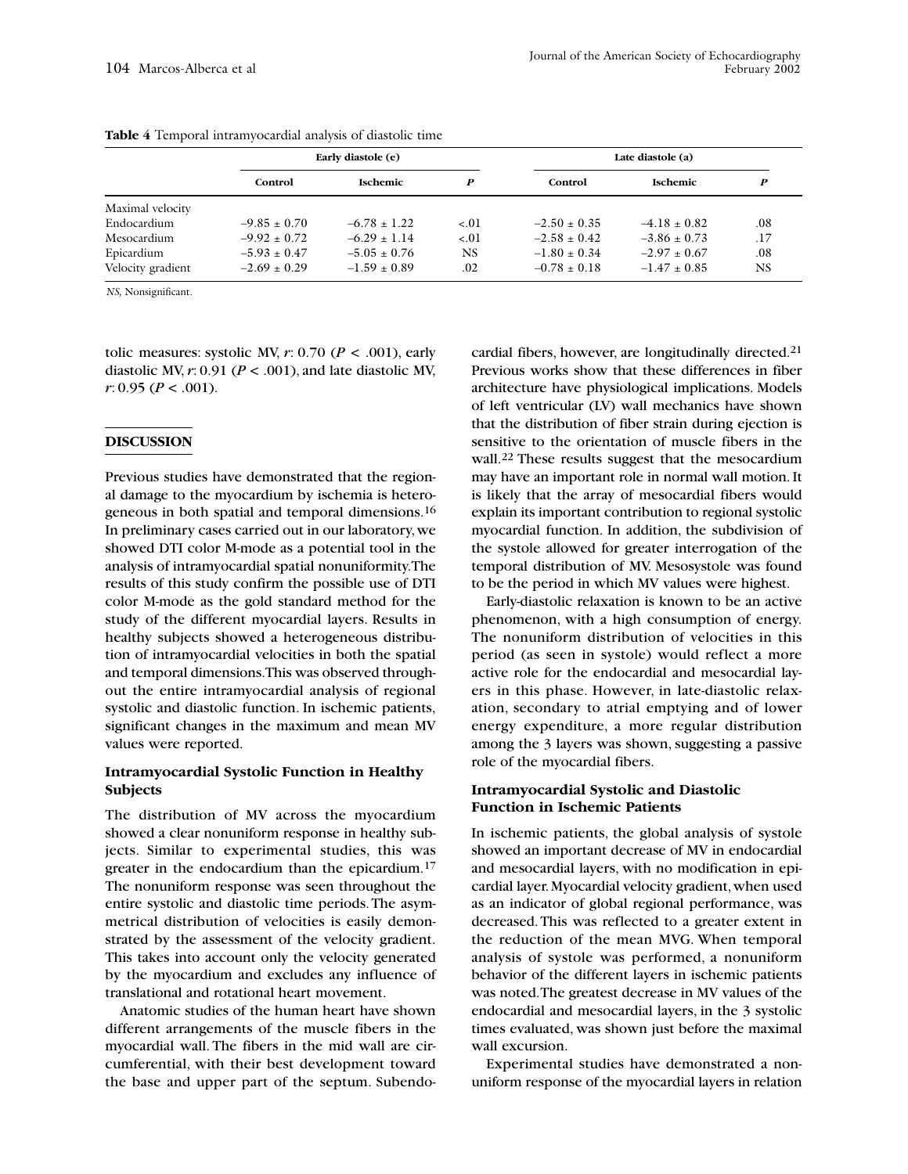|                   | Early diastole (e) |                  | Late diastole (a) |                  |                  |     |
|-------------------|--------------------|------------------|-------------------|------------------|------------------|-----|
|                   | Control            | <b>Ischemic</b>  | P                 | Control          | <b>Ischemic</b>  | P   |
| Maximal velocity  |                    |                  |                   |                  |                  |     |
| Endocardium       | $-9.85 \pm 0.70$   | $-6.78 \pm 1.22$ | $-.01$            | $-2.50 \pm 0.35$ | $-4.18 \pm 0.82$ | .08 |
| Mesocardium       | $-9.92 \pm 0.72$   | $-6.29 \pm 1.14$ | $-.01$            | $-2.58 \pm 0.42$ | $-3.86 \pm 0.73$ | .17 |
| Epicardium        | $-5.93 \pm 0.47$   | $-5.05 \pm 0.76$ | NS.               | $-1.80 \pm 0.34$ | $-2.97 \pm 0.67$ | .08 |
| Velocity gradient | $-2.69 \pm 0.29$   | $-1.59 \pm 0.89$ | .02               | $-0.78 \pm 0.18$ | $-1.47 \pm 0.85$ | NS  |

*NS,* Nonsignificant*.*

tolic measures: systolic MV,  $r: 0.70$  ( $P < .001$ ), early diastolic MV,  $r: 0.91$  ( $P < .001$ ), and late diastolic MV, *r*: 0.95 (*P* < .001).

# **DISCUSSION**

Previous studies have demonstrated that the regional damage to the myocardium by ischemia is heterogeneous in both spatial and temporal dimensions.16 In preliminary cases carried out in our laboratory,we showed DTI color M-mode as a potential tool in the analysis of intramyocardial spatial nonuniformity.The results of this study confirm the possible use of DTI color M-mode as the gold standard method for the study of the different myocardial layers. Results in healthy subjects showed a heterogeneous distribution of intramyocardial velocities in both the spatial and temporal dimensions.This was observed throughout the entire intramyocardial analysis of regional systolic and diastolic function. In ischemic patients, significant changes in the maximum and mean MV values were reported.

# **Intramyocardial Systolic Function in Healthy Subjects**

The distribution of MV across the myocardium showed a clear nonuniform response in healthy subjects. Similar to experimental studies, this was greater in the endocardium than the epicardium.17 The nonuniform response was seen throughout the entire systolic and diastolic time periods.The asymmetrical distribution of velocities is easily demonstrated by the assessment of the velocity gradient. This takes into account only the velocity generated by the myocardium and excludes any influence of translational and rotational heart movement.

Anatomic studies of the human heart have shown different arrangements of the muscle fibers in the myocardial wall. The fibers in the mid wall are circumferential, with their best development toward the base and upper part of the septum. Subendocardial fibers, however, are longitudinally directed.21 Previous works show that these differences in fiber architecture have physiological implications. Models of left ventricular (LV) wall mechanics have shown that the distribution of fiber strain during ejection is sensitive to the orientation of muscle fibers in the wall.<sup>22</sup> These results suggest that the mesocardium may have an important role in normal wall motion. It is likely that the array of mesocardial fibers would explain its important contribution to regional systolic myocardial function. In addition, the subdivision of the systole allowed for greater interrogation of the temporal distribution of MV. Mesosystole was found to be the period in which MV values were highest.

Early-diastolic relaxation is known to be an active phenomenon, with a high consumption of energy. The nonuniform distribution of velocities in this period (as seen in systole) would reflect a more active role for the endocardial and mesocardial layers in this phase. However, in late-diastolic relaxation, secondary to atrial emptying and of lower energy expenditure, a more regular distribution among the 3 layers was shown, suggesting a passive role of the myocardial fibers.

# **Intramyocardial Systolic and Diastolic Function in Ischemic Patients**

In ischemic patients, the global analysis of systole showed an important decrease of MV in endocardial and mesocardial layers, with no modification in epicardial layer.Myocardial velocity gradient,when used as an indicator of global regional performance, was decreased.This was reflected to a greater extent in the reduction of the mean MVG. When temporal analysis of systole was performed, a nonuniform behavior of the different layers in ischemic patients was noted.The greatest decrease in MV values of the endocardial and mesocardial layers, in the 3 systolic times evaluated, was shown just before the maximal wall excursion.

Experimental studies have demonstrated a nonuniform response of the myocardial layers in relation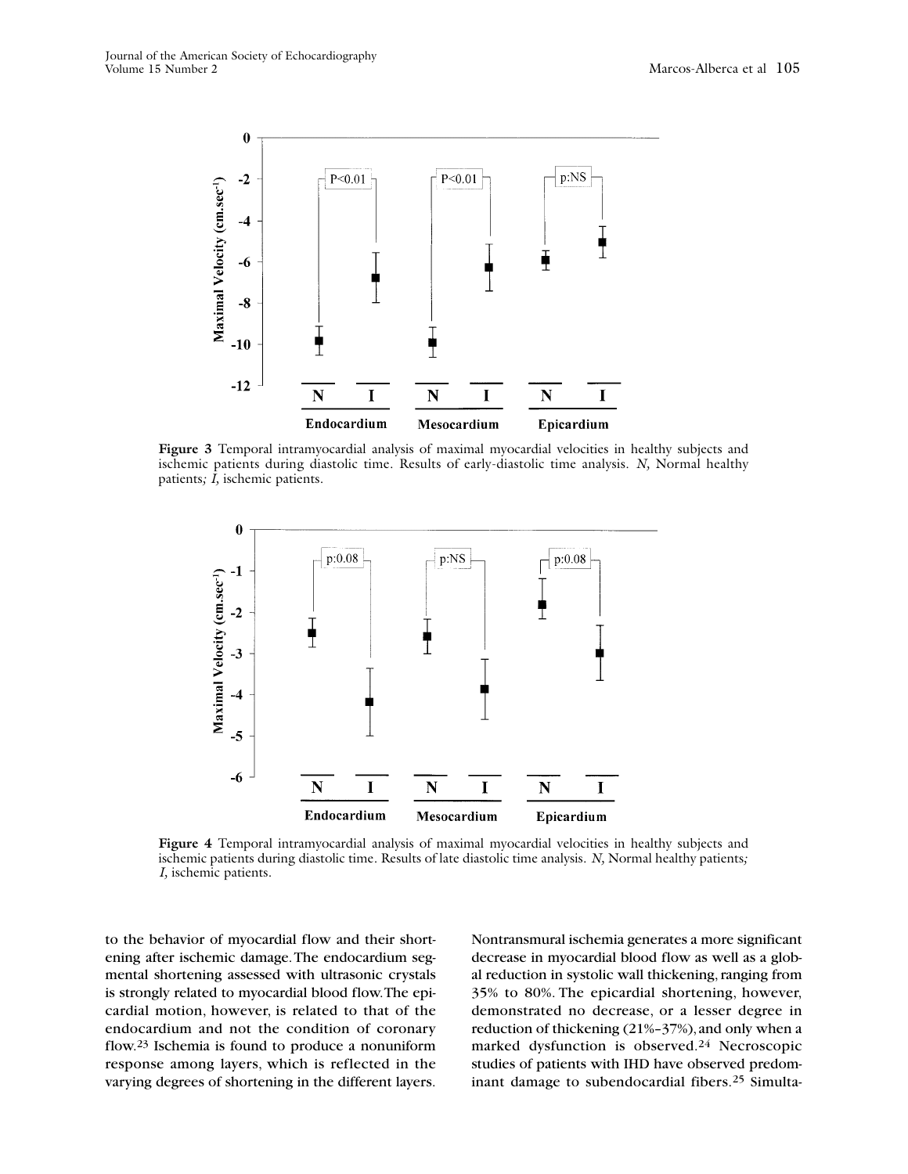

**Figure 3** Temporal intramyocardial analysis of maximal myocardial velocities in healthy subjects and ischemic patients during diastolic time. Results of early-diastolic time analysis. *N,* Normal healthy patients*; I,* ischemic patients.



**Figure 4** Temporal intramyocardial analysis of maximal myocardial velocities in healthy subjects and ischemic patients during diastolic time. Results of late diastolic time analysis. *N,* Normal healthy patients*; I,* ischemic patients.

to the behavior of myocardial flow and their shortening after ischemic damage.The endocardium segmental shortening assessed with ultrasonic crystals is strongly related to myocardial blood flow.The epicardial motion, however, is related to that of the endocardium and not the condition of coronary flow.23 Ischemia is found to produce a nonuniform response among layers, which is reflected in the varying degrees of shortening in the different layers.

Nontransmural ischemia generates a more significant decrease in myocardial blood flow as well as a global reduction in systolic wall thickening, ranging from 35% to 80%. The epicardial shortening, however, demonstrated no decrease, or a lesser degree in reduction of thickening  $(21\% - 37\%)$ , and only when a marked dysfunction is observed.24 Necroscopic studies of patients with IHD have observed predominant damage to subendocardial fibers.25 Simulta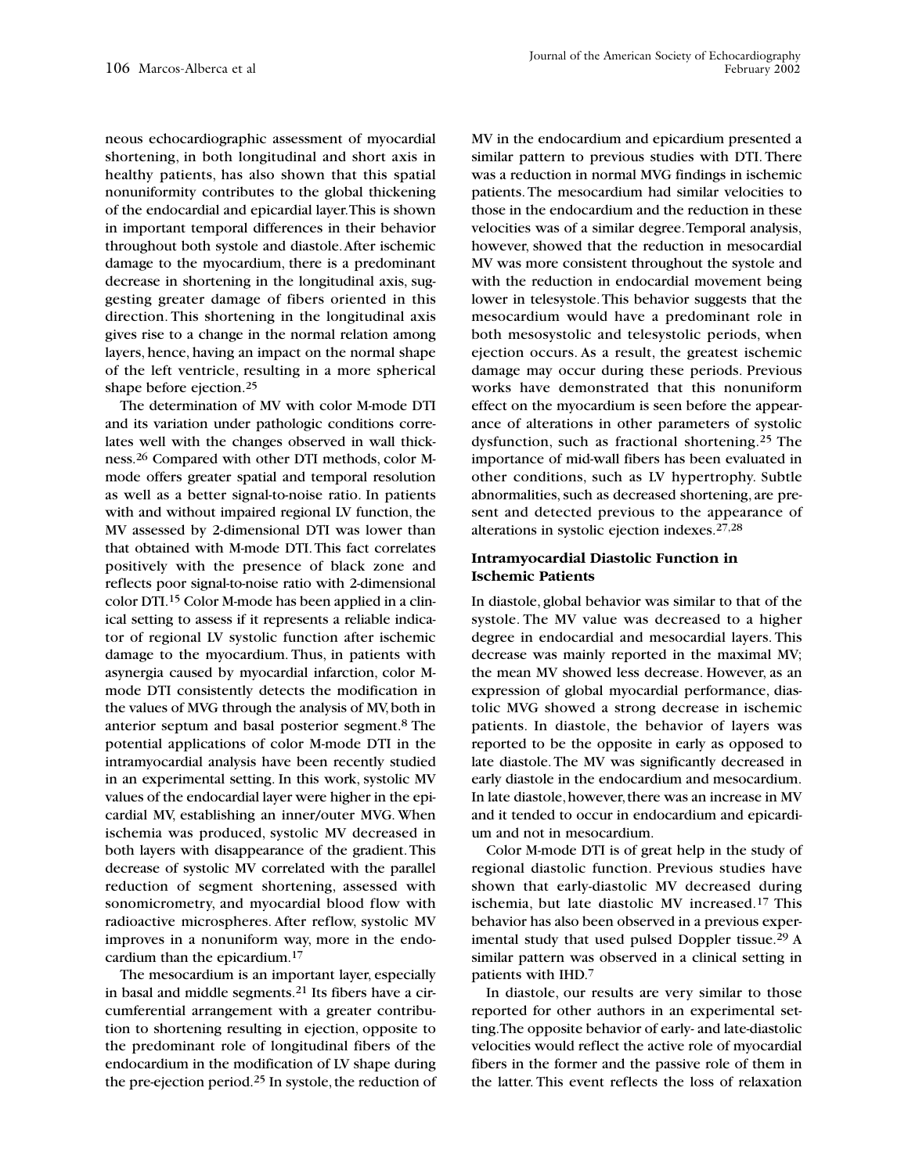neous echocardiographic assessment of myocardial shortening, in both longitudinal and short axis in healthy patients, has also shown that this spatial nonuniformity contributes to the global thickening of the endocardial and epicardial layer.This is shown in important temporal differences in their behavior throughout both systole and diastole.After ischemic damage to the myocardium, there is a predominant decrease in shortening in the longitudinal axis, suggesting greater damage of fibers oriented in this direction. This shortening in the longitudinal axis gives rise to a change in the normal relation among layers, hence, having an impact on the normal shape of the left ventricle, resulting in a more spherical shape before ejection.25

The determination of MV with color M-mode DTI and its variation under pathologic conditions correlates well with the changes observed in wall thickness.26 Compared with other DTI methods, color Mmode offers greater spatial and temporal resolution as well as a better signal-to-noise ratio. In patients with and without impaired regional LV function, the MV assessed by 2-dimensional DTI was lower than that obtained with M-mode DTI.This fact correlates positively with the presence of black zone and reflects poor signal-to-noise ratio with 2-dimensional color DTI.15 Color M-mode has been applied in a clinical setting to assess if it represents a reliable indicator of regional LV systolic function after ischemic damage to the myocardium. Thus, in patients with asynergia caused by myocardial infarction, color Mmode DTI consistently detects the modification in the values of MVG through the analysis of MV, both in anterior septum and basal posterior segment.8 The potential applications of color M-mode DTI in the intramyocardial analysis have been recently studied in an experimental setting. In this work, systolic MV values of the endocardial layer were higher in the epicardial MV, establishing an inner/outer MVG. When ischemia was produced, systolic MV decreased in both layers with disappearance of the gradient.This decrease of systolic MV correlated with the parallel reduction of segment shortening, assessed with sonomicrometry, and myocardial blood flow with radioactive microspheres. After reflow, systolic MV improves in a nonuniform way, more in the endocardium than the epicardium.17

The mesocardium is an important layer, especially in basal and middle segments.21 Its fibers have a circumferential arrangement with a greater contribution to shortening resulting in ejection, opposite to the predominant role of longitudinal fibers of the endocardium in the modification of LV shape during the pre-ejection period.<sup>25</sup> In systole, the reduction of

MV in the endocardium and epicardium presented a similar pattern to previous studies with DTI. There was a reduction in normal MVG findings in ischemic patients. The mesocardium had similar velocities to those in the endocardium and the reduction in these velocities was of a similar degree.Temporal analysis, however, showed that the reduction in mesocardial MV was more consistent throughout the systole and with the reduction in endocardial movement being lower in telesystole.This behavior suggests that the mesocardium would have a predominant role in both mesosystolic and telesystolic periods, when ejection occurs. As a result, the greatest ischemic damage may occur during these periods. Previous works have demonstrated that this nonuniform effect on the myocardium is seen before the appearance of alterations in other parameters of systolic dysfunction, such as fractional shortening.25 The importance of mid-wall fibers has been evaluated in other conditions, such as LV hypertrophy. Subtle abnormalities, such as decreased shortening, are present and detected previous to the appearance of alterations in systolic ejection indexes.27,28

# **Intramyocardial Diastolic Function in Ischemic Patients**

In diastole, global behavior was similar to that of the systole. The MV value was decreased to a higher degree in endocardial and mesocardial layers. This decrease was mainly reported in the maximal MV; the mean MV showed less decrease. However, as an expression of global myocardial performance, diastolic MVG showed a strong decrease in ischemic patients. In diastole, the behavior of layers was reported to be the opposite in early as opposed to late diastole.The MV was significantly decreased in early diastole in the endocardium and mesocardium. In late diastole, however, there was an increase in MV and it tended to occur in endocardium and epicardium and not in mesocardium.

Color M-mode DTI is of great help in the study of regional diastolic function. Previous studies have shown that early-diastolic MV decreased during ischemia, but late diastolic MV increased.17 This behavior has also been observed in a previous experimental study that used pulsed Doppler tissue.29 A similar pattern was observed in a clinical setting in patients with IHD.7

In diastole, our results are very similar to those reported for other authors in an experimental setting.The opposite behavior of early- and late-diastolic velocities would reflect the active role of myocardial fibers in the former and the passive role of them in the latter. This event reflects the loss of relaxation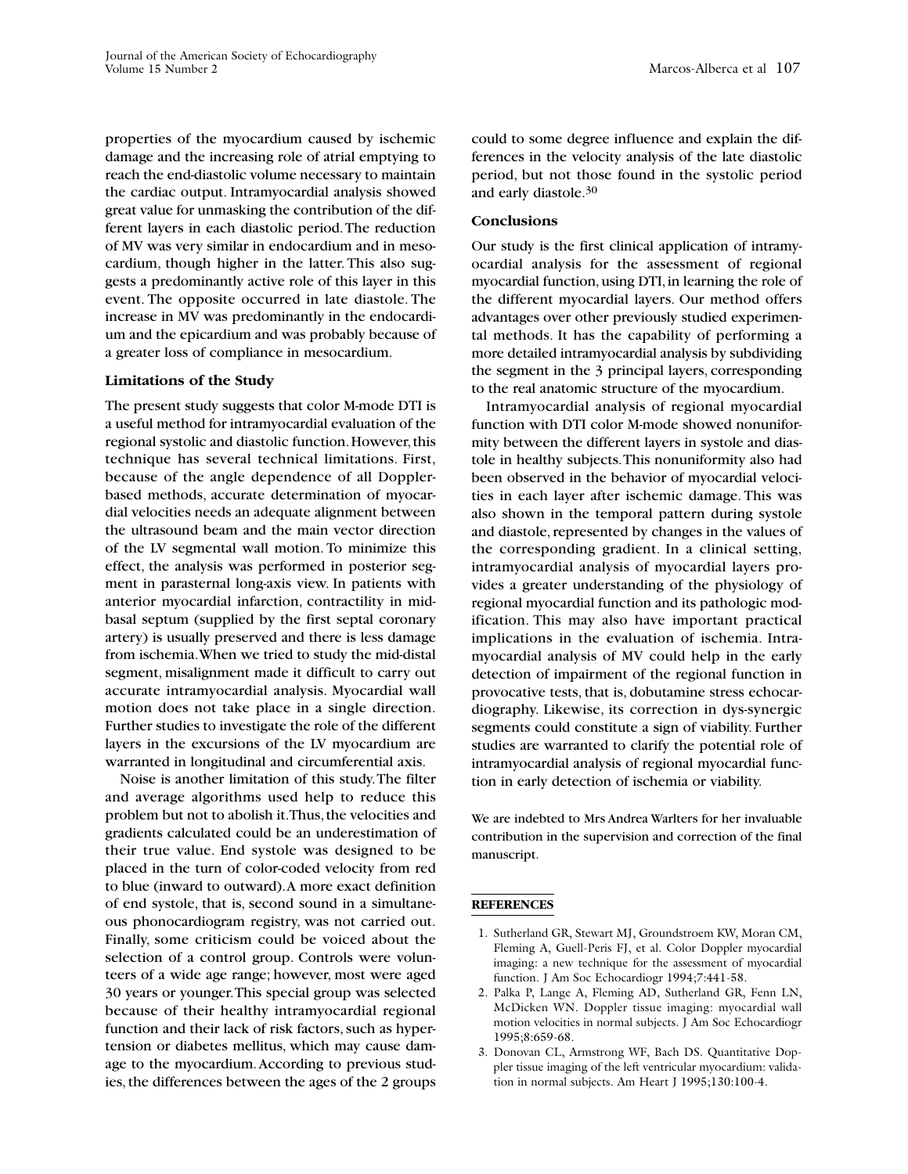properties of the myocardium caused by ischemic damage and the increasing role of atrial emptying to reach the end-diastolic volume necessary to maintain the cardiac output. Intramyocardial analysis showed great value for unmasking the contribution of the different layers in each diastolic period.The reduction of MV was very similar in endocardium and in mesocardium, though higher in the latter. This also suggests a predominantly active role of this layer in this event. The opposite occurred in late diastole. The increase in MV was predominantly in the endocardium and the epicardium and was probably because of a greater loss of compliance in mesocardium.

## **Limitations of the Study**

The present study suggests that color M-mode DTI is a useful method for intramyocardial evaluation of the regional systolic and diastolic function. However, this technique has several technical limitations. First, because of the angle dependence of all Dopplerbased methods, accurate determination of myocardial velocities needs an adequate alignment between the ultrasound beam and the main vector direction of the LV segmental wall motion. To minimize this effect, the analysis was performed in posterior segment in parasternal long-axis view. In patients with anterior myocardial infarction, contractility in midbasal septum (supplied by the first septal coronary artery) is usually preserved and there is less damage from ischemia.When we tried to study the mid-distal segment, misalignment made it difficult to carry out accurate intramyocardial analysis. Myocardial wall motion does not take place in a single direction. Further studies to investigate the role of the different layers in the excursions of the LV myocardium are warranted in longitudinal and circumferential axis.

Noise is another limitation of this study.The filter and average algorithms used help to reduce this problem but not to abolish it. Thus, the velocities and gradients calculated could be an underestimation of their true value. End systole was designed to be placed in the turn of color-coded velocity from red to blue (inward to outward).A more exact definition of end systole, that is, second sound in a simultaneous phonocardiogram registry, was not carried out. Finally, some criticism could be voiced about the selection of a control group. Controls were volunteers of a wide age range; however, most were aged 30 years or younger.This special group was selected because of their healthy intramyocardial regional function and their lack of risk factors, such as hypertension or diabetes mellitus, which may cause damage to the myocardium.According to previous studies, the differences between the ages of the 2 groups could to some degree influence and explain the differences in the velocity analysis of the late diastolic period, but not those found in the systolic period and early diastole.30

# **Conclusions**

Our study is the first clinical application of intramyocardial analysis for the assessment of regional myocardial function, using DTI, in learning the role of the different myocardial layers. Our method offers advantages over other previously studied experimental methods. It has the capability of performing a more detailed intramyocardial analysis by subdividing the segment in the 3 principal layers, corresponding to the real anatomic structure of the myocardium.

Intramyocardial analysis of regional myocardial function with DTI color M-mode showed nonuniformity between the different layers in systole and diastole in healthy subjects.This nonuniformity also had been observed in the behavior of myocardial velocities in each layer after ischemic damage. This was also shown in the temporal pattern during systole and diastole, represented by changes in the values of the corresponding gradient. In a clinical setting, intramyocardial analysis of myocardial layers provides a greater understanding of the physiology of regional myocardial function and its pathologic modification. This may also have important practical implications in the evaluation of ischemia. Intramyocardial analysis of MV could help in the early detection of impairment of the regional function in provocative tests, that is, dobutamine stress echocardiography. Likewise, its correction in dys-synergic segments could constitute a sign of viability. Further studies are warranted to clarify the potential role of intramyocardial analysis of regional myocardial function in early detection of ischemia or viability.

We are indebted to Mrs Andrea Warlters for her invaluable contribution in the supervision and correction of the final manuscript.

#### **REFERENCES**

- 1. Sutherland GR, Stewart MJ, Groundstroem KW, Moran CM, Fleming A, Guell-Peris FJ, et al. Color Doppler myocardial imaging: a new technique for the assessment of myocardial function. J Am Soc Echocardiogr 1994;7:441-58.
- 2. Palka P, Lange A, Fleming AD, Sutherland GR, Fenn LN, McDicken WN. Doppler tissue imaging: myocardial wall motion velocities in normal subjects. J Am Soc Echocardiogr 1995;8:659-68.
- 3. Donovan CL, Armstrong WF, Bach DS. Quantitative Doppler tissue imaging of the left ventricular myocardium: validation in normal subjects. Am Heart J 1995;130:100-4.